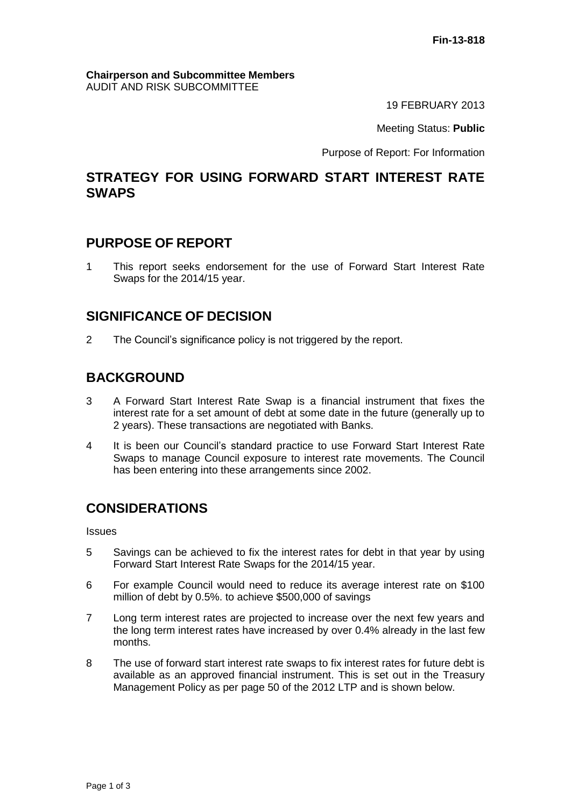#### **Chairperson and Subcommittee Members** AUDIT AND RISK SUBCOMMITTEE

19 FEBRUARY 2013

Meeting Status: **Public**

Purpose of Report: For Information

## **STRATEGY FOR USING FORWARD START INTEREST RATE SWAPS**

### **PURPOSE OF REPORT**

1 This report seeks endorsement for the use of Forward Start Interest Rate Swaps for the 2014/15 year.

# **SIGNIFICANCE OF DECISION**

2 The Council's significance policy is not triggered by the report.

# **BACKGROUND**

- 3 A Forward Start Interest Rate Swap is a financial instrument that fixes the interest rate for a set amount of debt at some date in the future (generally up to 2 years). These transactions are negotiated with Banks.
- 4 It is been our Council's standard practice to use Forward Start Interest Rate Swaps to manage Council exposure to interest rate movements. The Council has been entering into these arrangements since 2002.

# **CONSIDERATIONS**

**Issues** 

- 5 Savings can be achieved to fix the interest rates for debt in that year by using Forward Start Interest Rate Swaps for the 2014/15 year.
- 6 For example Council would need to reduce its average interest rate on \$100 million of debt by 0.5%. to achieve \$500,000 of savings
- 7 Long term interest rates are projected to increase over the next few years and the long term interest rates have increased by over 0.4% already in the last few months.
- 8 The use of forward start interest rate swaps to fix interest rates for future debt is available as an approved financial instrument. This is set out in the Treasury Management Policy as per page 50 of the 2012 LTP and is shown below.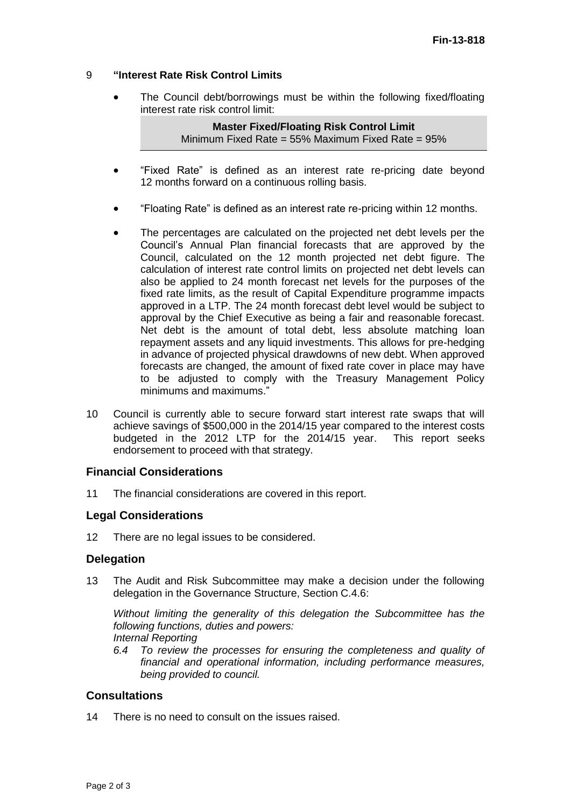#### 9 **"Interest Rate Risk Control Limits**

 The Council debt/borrowings must be within the following fixed/floating interest rate risk control limit:

> **Master Fixed/Floating Risk Control Limit** Minimum Fixed Rate = 55% Maximum Fixed Rate = 95%

- "Fixed Rate" is defined as an interest rate re-pricing date beyond 12 months forward on a continuous rolling basis.
- "Floating Rate" is defined as an interest rate re-pricing within 12 months.
- The percentages are calculated on the projected net debt levels per the Council's Annual Plan financial forecasts that are approved by the Council, calculated on the 12 month projected net debt figure. The calculation of interest rate control limits on projected net debt levels can also be applied to 24 month forecast net levels for the purposes of the fixed rate limits, as the result of Capital Expenditure programme impacts approved in a LTP. The 24 month forecast debt level would be subject to approval by the Chief Executive as being a fair and reasonable forecast. Net debt is the amount of total debt, less absolute matching loan repayment assets and any liquid investments. This allows for pre-hedging in advance of projected physical drawdowns of new debt. When approved forecasts are changed, the amount of fixed rate cover in place may have to be adjusted to comply with the Treasury Management Policy minimums and maximums."
- 10 Council is currently able to secure forward start interest rate swaps that will achieve savings of \$500,000 in the 2014/15 year compared to the interest costs budgeted in the 2012 LTP for the 2014/15 year. This report seeks endorsement to proceed with that strategy.

#### **Financial Considerations**

11 The financial considerations are covered in this report.

#### **Legal Considerations**

12 There are no legal issues to be considered.

#### **Delegation**

13 The Audit and Risk Subcommittee may make a decision under the following delegation in the Governance Structure, Section C.4.6:

*Without limiting the generality of this delegation the Subcommittee has the following functions, duties and powers:*

- *Internal Reporting*
- *6.4 To review the processes for ensuring the completeness and quality of financial and operational information, including performance measures, being provided to council.*

#### **Consultations**

14 There is no need to consult on the issues raised.